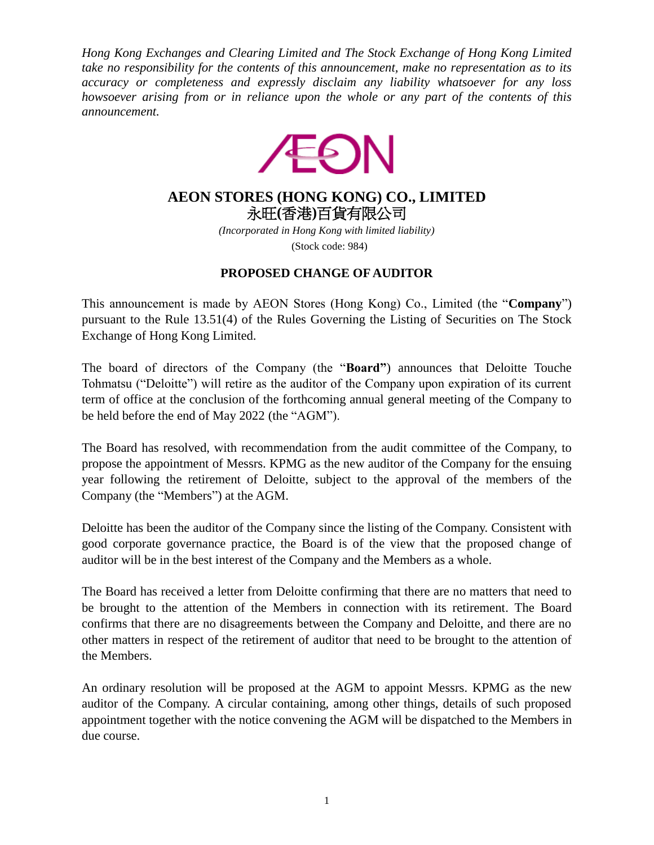*Hong Kong Exchanges and Clearing Limited and The Stock Exchange of Hong Kong Limited take no responsibility for the contents of this announcement, make no representation as to its accuracy or completeness and expressly disclaim any liability whatsoever for any loss howsoever arising from or in reliance upon the whole or any part of the contents of this announcement.*



## **AEON STORES (HONG KONG) CO., LIMITED** 永旺**(**香港**)**百貨有限公司

*(Incorporated in Hong Kong with limited liability)* (Stock code: 984)

## **PROPOSED CHANGE OF AUDITOR**

This announcement is made by AEON Stores (Hong Kong) Co., Limited (the "**Company**") pursuant to the Rule 13.51(4) of the Rules Governing the Listing of Securities on The Stock Exchange of Hong Kong Limited.

The board of directors of the Company (the "**Board"**) announces that Deloitte Touche Tohmatsu ("Deloitte") will retire as the auditor of the Company upon expiration of its current term of office at the conclusion of the forthcoming annual general meeting of the Company to be held before the end of May 2022 (the "AGM").

The Board has resolved, with recommendation from the audit committee of the Company, to propose the appointment of Messrs. KPMG as the new auditor of the Company for the ensuing year following the retirement of Deloitte, subject to the approval of the members of the Company (the "Members") at the AGM.

Deloitte has been the auditor of the Company since the listing of the Company. Consistent with good corporate governance practice, the Board is of the view that the proposed change of auditor will be in the best interest of the Company and the Members as a whole.

The Board has received a letter from Deloitte confirming that there are no matters that need to be brought to the attention of the Members in connection with its retirement. The Board confirms that there are no disagreements between the Company and Deloitte, and there are no other matters in respect of the retirement of auditor that need to be brought to the attention of the Members.

An ordinary resolution will be proposed at the AGM to appoint Messrs. KPMG as the new auditor of the Company. A circular containing, among other things, details of such proposed appointment together with the notice convening the AGM will be dispatched to the Members in due course.